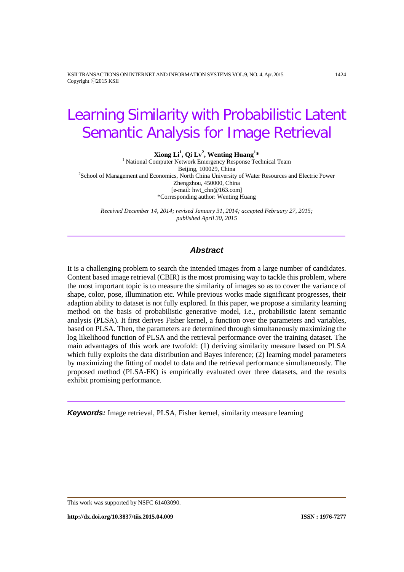KSII TRANSACTIONS ON INTERNET AND INFORMATION SYSTEMS VOL.9, NO. 4, Apr. 2015 1424 Copyright ⓒ2015 KSII

# Learning Similarity with Probabilistic Latent Semantic Analysis for Image Retrieval

**Xiong Li1 , Qi Lv<sup>2</sup> , Wenting Huang<sup>1</sup>**

<sup>1</sup> National Computer Network Emergency Response Technical Team<br>Beijing, 100029, China Beijing, 100029, China<br>School of Management and Economics, North China University of Water Resources and Electric Power<sup>2</sup> Zhengzhou, 450000, China [e-mail: hwt\_chn@163.com] \*Corresponding author: Wenting Huang

*Received December 14, 2014; revised January 31, 2014; accepted February 27, 2015; published April 30, 2015*

# *Abstract*

It is a challenging problem to search the intended images from a large number of candidates. Content based image retrieval (CBIR) is the most promising way to tackle this problem, where the most important topic is to measure the similarity of images so as to cover the variance of shape, color, pose, illumination etc. While previous works made significant progresses, their adaption ability to dataset is not fully explored. In this paper, we propose a similarity learning method on the basis of probabilistic generative model, i.e., probabilistic latent semantic analysis (PLSA). It first derives Fisher kernel, a function over the parameters and variables, based on PLSA. Then, the parameters are determined through simultaneously maximizing the log likelihood function of PLSA and the retrieval performance over the training dataset. The main advantages of this work are twofold: (1) deriving similarity measure based on PLSA which fully exploits the data distribution and Bayes inference; (2) learning model parameters by maximizing the fitting of model to data and the retrieval performance simultaneously. The proposed method (PLSA-FK) is empirically evaluated over three datasets, and the results exhibit promising performance.

*Keywords:* Image retrieval, PLSA, Fisher kernel, similarity measure learning

**http://dx.doi.org/10.3837/tiis.2015.04.009 ISSN : 1976-7277**

This work was supported by NSFC 61403090.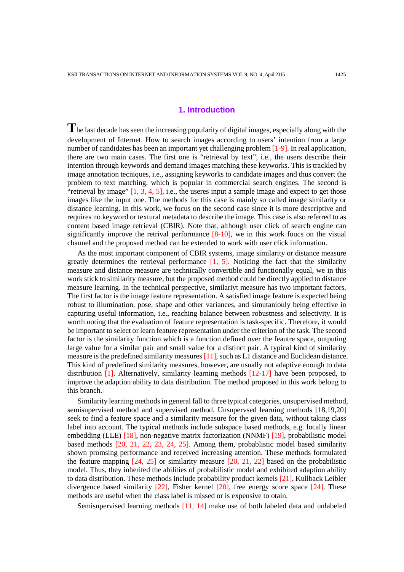## **1. Introduction**

The last decade has seen the increasing popularity of digital images, especially along with the development of Internet. How to search images according to users' intention from a large number of candidates has been an important yet challenging problem [1-9]. In real application, there are two main cases. The first one is "retrieval by text", i.e., the users describe their intention through keywords and demand images matching these keyworks. This is trackled by image annotation tecniques, i.e., assigning keyworks to candidate images and thus convert the problem to text matching, which is popular in commercial search engines. The second is "retrieval by image"  $[1, 3, 4, 5]$ , i.e., the useres input a sample image and expect to get those images like the input one. The methods for this case is mainly so called image similarity or distance learning. In this work, we focus on the second case since it is more descriptive and requires no keyword or textural metadata to describe the image. This case is also referred to as content based image retrieval (CBIR). Note that, although user click of search engine can significantly improve the retrival performance [8-10], we in this work foucs on the visual channel and the proposed method can be extended to work with user click information.

As the most important component of CBIR systems, image similarity or distance measure greatly determines the retrieval performance  $[1, 5]$ . Noticing the fact that the similarity measure and distance measure are technically convertible and functionally equal, we in this work stick to similarity measure, but the proposed method could be directly applied to distance measure learning. In the technical perspective, similariyt measure has two important factors. The first factor is the image feature representation. A satisfied image feature is expected being robust to illumination, pose, shape and other variances, and simutaniouly being effective in capturing useful information, i.e., reaching balance between robustness and selectivity. It is worth noting that the evaluation of feature representation is task-specific. Therefore, it would be important to select or learn feature representation under the criterion of the task. The second factor is the similarity function which is a function defined over the feautre space, outputing large value for a similar pair and small value for a distinct pair. A typical kind of similarity measure is the predefined similarity measures [11], such as L1 distance and Euclidean distance. This kind of predefined similarity measures, however, are usually not adaptive enough to data distribution [1]. Alternatively, similarity learning methods [12-17] have been proposed, to improve the adaption ability to data distribution. The method proposed in this work belong to this branch.

Similarity learning methods in general fall to three typical categories, unsupervised method, semisupervised method and supervised method. Unsupervsed learning methods [18,19,20] seek to find a feature space and a similarity measure for the given data, without taking class label into account. The typical methods include subspace based methods, e.g. locally linear embedding (LLE) [18], non-negative matrix factorization (NNMF) [19], probabilistic model based methods [20, 21, 22, 23, 24, 25]. Among them, probablistic model based similarity shown promsing performance and received increasing attention. These methods formulated the feature mapping [24, 25] or similarity measure [20, 21, 22] based on the probabilistic model. Thus, they inherited the abilities of probabilistic model and exhibited adaption ability to data distribution. These methods include probability product kernels [21], Kullback Leibler divergence based similarity  $[22]$ , Fisher kernel  $[20]$ , free energy score space  $[24]$ . These methods are useful when the class label is missed or is expensive to otain.

Semisupervised learning methods [11, 14] make use of both labeled data and unlabeled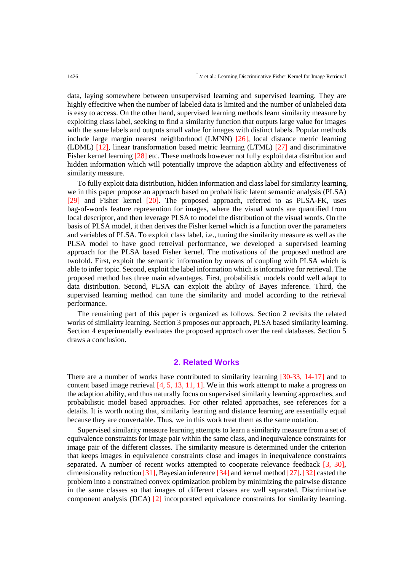data, laying somewhere between unsupervised learning and supervised learning. They are highly effecitive when the number of labeled data is limited and the number of unlabeled data is easy to access. On the other hand, supervised learning methods learn similarity measure by exploiting class label, seeking to find a similarity function that outputs large value for images with the same labels and outputs small value for images with distinct labels. Popular methods include large margin nearest neighborhood (LMNN) [26], local distance metric learning (LDML) [12], linear transformation based metric learning (LTML) [27] and discriminative Fisher kernel learning [28] etc. These methods however not fully exploit data distribution and hidden information which will potentially improve the adaption ability and effectiveness of similarity measure.

To fully exploit data distribution, hidden information and class label for similarity learning, we in this paper propose an approach based on probabilistic latent semantic analysis (PLSA) [29] and Fisher kernel [20]. The proposed approach, referred to as PLSA-FK, uses bag-of-words feature represention for images, where the visual words are quantified from local descriptor, and then leverage PLSA to model the distribution of the visual words. On the basis of PLSA model, it then derives the Fisher kernel which is a function over the parameters and variables of PLSA. To exploit class label, i.e., tuning the similarity measure as well as the PLSA model to have good retreival performance, we developed a supervised learning approach for the PLSA based Fisher kernel. The motivations of the proposed method are twofold. First, exploit the semantic information by means of coupling with PLSA which is able to infer topic. Second, exploit the label information which is informative for retrieval. The proposed method has three main advantages. First, probabilistic models could well adapt to data distribution. Second, PLSA can exploit the ability of Bayes inference. Third, the supervised learning method can tune the similarity and model according to the retrieval performance.

The remaining part of this paper is organized as follows. Section 2 revisits the related works of similairty learning. Section 3 proposes our approach, PLSA based similarity learning. Section 4 experimentally evaluates the proposed approach over the real databases. Section 5 draws a conclusion.

## **2. Related Works**

There are a number of works have contributed to similarity learning [30-33, 14-17] and to content based image retrieval [4, 5, 13, 11, 1]. We in this work attempt to make a progress on the adaption ability, and thus naturally focus on supervised similarity learning approaches, and probabilistic model based approaches. For other related approaches, see references for a details. It is worth noting that, similarity learning and distance learning are essentially equal because they are convertable. Thus, we in this work treat them as the same notation.

Supervised similarity measure learning attempts to learn a similarity measure from a set of equivalence constraints for image pair within the same class, and inequivalence constraints for image pair of the different classes. The similarity measure is determined under the criterion that keeps images in equivalence constraints close and images in inequivalence constraints separated. A number of recent works attempted to cooperate relevance feedback [3, 30], dimensionality reduction [31], Bayesian inference [34] and kernel method [27]. [32] casted the problem into a constrained convex optimization problem by minimizing the pairwise distance in the same classes so that images of different classes are well separated. Discriminative component analysis (DCA) [2] incorporated equivalence constraints for similarity learning.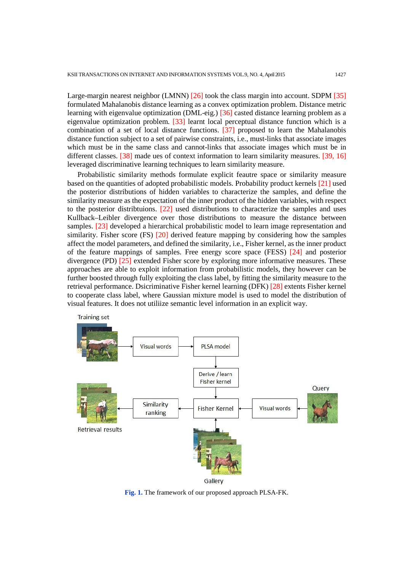Large-margin nearest neighbor (LMNN) [26] took the class margin into account. SDPM [35] formulated Mahalanobis distance learning as a convex optimization problem. Distance metric learning with eigenvalue optimization (DML-eig.) [36] casted distance learning problem as a eigenvalue optimization problem. [33] learnt local perceptual distance function which is a combination of a set of local distance functions. [37] proposed to learn the Mahalanobis distance function subject to a set of pairwise constraints, i.e., must-links that associate images which must be in the same class and cannot-links that associate images which must be in different classes. [38] made ues of context information to learn similarity measures. [39, 16] leveraged discriminative learning techniques to learn similarity measure.

Probabilistic similarity methods formulate explicit feautre space or similarity measure based on the quantities of adopted probabilistic models. Probability product kernels [21] used the posterior distributions of hidden variables to characterize the samples, and define the similarity measure as the expectation of the inner product of the hidden variables, with respect to the posterior distribtuions. [22] used distributions to characterize the samples and uses Kullback–Leibler divergence over those distributions to measure the distance between samples. [23] developed a hierarchical probabilistic model to learn image representation and similarity. Fisher score (FS) [20] derived feature mapping by considering how the samples affect the model parameters, and defined the similarity, i.e., Fisher kernel, as the inner product of the feature mappings of samples. Free energy score space (FESS) [24] and posterior divergence (PD) [25] extended Fisher score by exploring more informative measures. These approaches are able to exploit information from probabilistic models, they however can be further boosted through fully exploiting the class label, by fitting the similarity measure to the retrieval performance. Dsicriminative Fisher kernel learning (DFK) [28] extents Fisher kernel to cooperate class label, where Gaussian mixture model is used to model the distribution of visual features. It does not utiliize semantic level information in an explicit way.



Gallery

**Fig. 1.** The framework of our proposed approach PLSA-FK.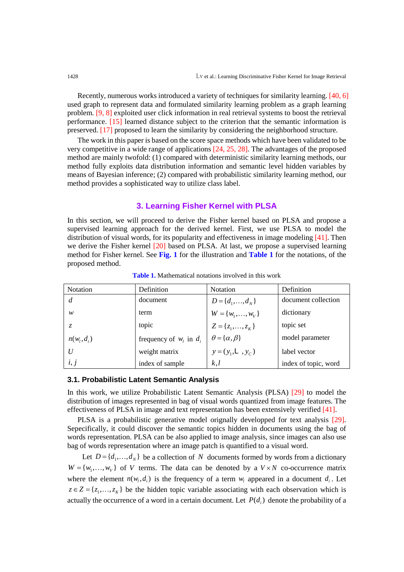Recently, numerous works introduced a variety of techniques for similarity learning. [40, 6] used graph to represent data and formulated similarity learning problem as a graph learning problem. [9, 8] exploited user click information in real retrieval systems to boost the retrieval performance. [15] learned distance subject to the criterion that the semantic information is preserved. [17] proposed to learn the similarity by considering the neighborhood structure.

The work in this paper is based on the score space methods which have been validated to be very competitive in a wide range of applications [24, 25, 28]. The advantages of the proposed method are mainly twofold: (1) compared with deterministic similarity learning methods, our method fully exploits data distribution information and semantic level hidden variables by means of Bayesian inference; (2) compared with probabilistic similarity learning method, our method provides a sophisticated way to utilize class label.

## **3. Learning Fisher Kernel with PLSA**

In this section, we will proceed to derive the Fisher kernel based on PLSA and propose a supervised learning approach for the derived kernel. First, we use PLSA to model the distribution of visual words, for its popularity and effectiveness in image modeling [41]. Then we derive the Fisher kernel [20] based on PLSA. At last, we propose a supervised learning method for Fisher kernel. See **Fig. 1** for the illustration and **Table 1** for the notations, of the proposed method.

| <b>Notation</b> | Definition                  | <b>Notation</b>                                                                                                 | Definition           |
|-----------------|-----------------------------|-----------------------------------------------------------------------------------------------------------------|----------------------|
|                 | document                    |                                                                                                                 | document collection  |
| w               | term                        | D = { $d_1$ ,, $d_N$ }<br>W = { $w_1$ ,, $w_V$ }<br>Z = { $z_1$ ,, $z_K$ }<br>$\theta$ = { $\alpha$ , $\beta$ } | dictionary           |
|                 | topic                       |                                                                                                                 | topic set            |
| $n(w_i, d_i)$   | frequency of $w_i$ in $d_i$ |                                                                                                                 | model parameter      |
| II              | weight matrix               | $y = (y_1, L, y_C)$                                                                                             | label vector         |
| i, j            | index of sample             | k, l                                                                                                            | index of topic, word |

**Table 1.** Mathematical notations involved in this work

## **3.1. Probabilistic Latent Semantic Analysis**

In this work, we utilize Probabilistic Latent Semantic Analysis (PLSA) [29] to model the distribution of images represented in bag of visual words quantized from image features. The effectiveness of PLSA in image and text representation has been extensively verified [41].

PLSA is a probabilistic generative model orignally developped for text analysis [29]. Sepecifically, it could discover the semantic topics hidden in documents using the bag of words representation. PLSA can be also applied to image analysis, since images can also use bag of words representation where an image patch is quantified to a visual word.

Let  $D = \{d_1, ..., d_N\}$  be a collection of *N* documents formed by words from a dictionary  $W = \{w_1, \ldots, w_v\}$  of *V* terms. The data can be denoted by a  $V \times N$  co-occurrence matrix where the element  $n(w_i, d_i)$  is the frequency of a term  $w_i$  appeared in a document  $d_i$ . Let  $z \in Z = \{z_1, \ldots, z_K\}$  be the hidden topic variable associating with each observation which is actually the occurrence of a word in a certain document. Let  $P(d_i)$  denote the probability of a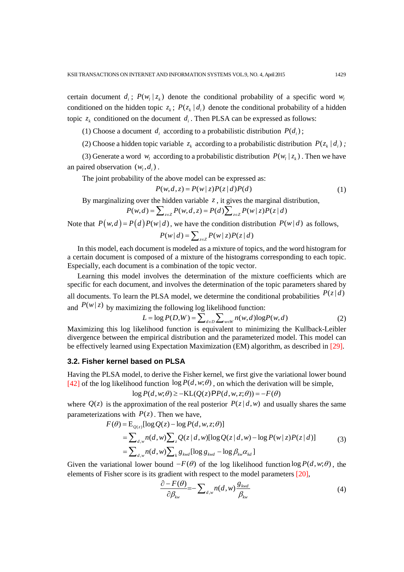certain document  $d_i$ ;  $P(w_i | z_i)$  denote the conditional probability of a specific word  $w_i$ conditioned on the hidden topic  $z_k$ ;  $P(z_k | d_i)$  denote the conditional probability of a hidden topic  $z_k$  conditioned on the document  $d_i$ . Then PLSA can be expressed as follows:

(1) Choose a document  $d_i$  according to a probabilistic distribution  $P(d_i)$ ;

(2) Choose a hidden topic variable  $z_k$  according to a probabilistic distribution  $P(z_k | d_i)$ ;

(3) Generate a word  $w_l$  according to a probabilistic distribution  $P(w_l | z_k)$ . Then we have an paired observation  $(w_i, d_i)$ .

The joint probability of the above model can be expressed as:

 $P(w,d,z) = P(w | z)P(z | d)P(d)$  (1)

By marginalizing over the hidden variable  $z$ , it gives the marginal distribution,

$$
P(w,d) = \sum_{z \in Z} P(w,d,z) = P(d) \sum_{z \in Z} P(w | z) P(z | d)
$$

Note that  $P(w,d) = P(d) P(w | d)$ , we have the condition distribution  $P(w | d)$  as follows,

$$
P(w | d) = \sum_{z \in Z} P(w | z) P(z | d)
$$

In this model, each document is modeled as a mixture of topics, and the word histogram for a certain document is composed of a mixture of the histograms corresponding to each topic. Especially, each document is a combination of the topic vector.

Learning this model involves the determination of the mixture coefficients which are specific for each document, and involves the determination of the topic parameters shared by all documents. To learn the PLSA model, we determine the conditional probabilities  $P(z | d)$ and  $P(w | z)$  by maximizing the following log likelihood function:

$$
L = \log P(D, W) = \sum_{d \in D} \sum_{w \in W} n(w, d) \log P(w, d)
$$
 (2)

Maximizing this log likelihood function is equivalent to minimizing the Kullback-Leibler divergence between the empirical distribution and the parameterized model. This model can be effectively learned using Expectation Maximization (EM) algorithm, as described in [29].

## **3.2. Fisher kernel based on PLSA**

Having the PLSA model, to derive the Fisher kernel, we first give the variational lower bound [42] of the log likelihood function  $\log P(d, w; \theta)$ , on which the derivation will be simple,

$$
\log P(d, w; \theta) \ge -KL(Q(z) \mathsf{P} P(d, w, z; \theta)) = -F(\theta)
$$

where  $Q(z)$  is the approximation of the real posterior  $P(z|d,w)$  and usually shares the same parameterizations with  $P(z)$ . Then we have,

$$
F(\theta) = \mathbb{E}_{Q(z)}[\log Q(z) - \log P(d, w, z; \theta)]
$$
  
= 
$$
\sum_{d,w} n(d,w) \sum_{z} Q(z|d,w) [\log Q(z|d,w) - \log P(w|z)P(z|d)]
$$
  
= 
$$
\sum_{d,w} n(d,w) \sum_{k} g_{kwd} [\log g_{kwd} - \log \beta_{kw} \alpha_{kd}]
$$
 (3)

Given the variational lower bound  $-F(\theta)$  of the log likelihood function log  $P(d, w; \theta)$ , the elements of Fisher score is its gradient with respect to the model parameters [20],

$$
\frac{\partial - F(\theta)}{\partial \beta_{kw}} = -\sum_{d,w} n(d,w) \frac{g_{kwd}}{\beta_{kw}}
$$
(4)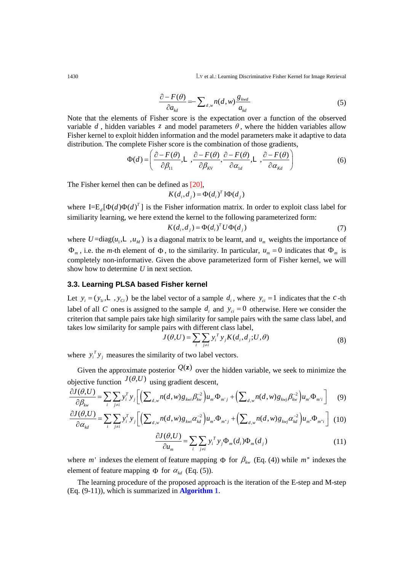1430 Lv et al.: Learning Discriminative Fisher Kernel for Image Retrieval

$$
\frac{\partial - F(\theta)}{\partial a_{kd}} = -\sum_{d,w} n(d,w) \frac{g_{kwd}}{a_{kd}}
$$
(5)

Note that the elements of Fisher score is the expectation over a function of the observed variable  $d$ , hidden variables  $z$  and model parameters  $\theta$ , where the hidden variables allow Fisher kernel to exploit hidden information and the model parameters make it adaptive to data distribution. The complete Fisher score is the combination of those gradients,

$$
\Phi(d) = \left( \frac{\partial - F(\theta)}{\partial \beta_{11}}, L \right), \frac{\partial - F(\theta)}{\partial \beta_{kv}}, \frac{\partial - F(\theta)}{\partial \alpha_{1d}}, L \right), \frac{\partial - F(\theta)}{\partial \alpha_{kd}} \right)
$$
(6)

The Fisher kernel then can be defined as [20],

$$
K(d_i, d_j) = \Phi(d_i)^T \mathbf{I} \Phi(d_j)
$$

where  $I = E_d[\Phi(d)\Phi(d)^T]$  is the Fisher information matrix. In order to exploit class label for similiarity learning, we here extend the kernel to the following parameterized form:

$$
K(d_i, d_j) = \Phi(d_i)^T U \Phi(d_j)
$$
\n<sup>(7)</sup>

where  $U = \text{diag}(u_1, \mathsf{L} \cdot, u_M)$  is a diagonal matrix to be learnt, and  $u_m$  weights the importance of  $\Phi_m$ , i.e. the *m*-th element of  $\Phi$ , to the similarity. In particular,  $u_m = 0$  indicates that  $\Phi_m$  is completely non-informative. Given the above parameterized form of Fisher kernel, we will show how to determine *U* in next section.

## **3.3. Learning PLSA based Fisher kernel**

Let  $y_i = (y_{1i}, \mathbf{L}, y_{ci})$  be the label vector of a sample  $d_i$ , where  $y_{ci} = 1$  indicates that the *c*-th label of all *C* ones is assigned to the sample  $d_i$  and  $y_{ci} = 0$  otherwise. Here we consider the criterion that sample pairs take high similarity for sample pairs with the same class label, and takes low similarity for sample pairs with different class label,

$$
J(\theta, U) = \sum_{i} \sum_{j \neq i} y_i^T y_j K(d_i, d_j; U, \theta)
$$
\n(8)

where  $y_i^T y_j$  measures the similarity of two label vectors.

Given the approximate posterior  $Q(z)$  over the hidden variable, we seek to minimize the objective function  $J(\theta, U)$  using gradient descent,

$$
\frac{\partial J(\theta, U)}{\partial \beta_{kw}} = \sum_{i} \sum_{j \neq i} y_i^T y_j \left[ \left( \sum_{d,w} n(d,w) g_{kwi} \beta_{kw}^{-2} \right) u_m \Phi_{m'j} + \left( \sum_{d,w} n(d,w) g_{kwj} \beta_{kw}^{-2} \right) u_m \Phi_{m'i} \right] \tag{9}
$$

$$
\frac{\partial J(\theta, U)}{\partial \alpha_{kd}} = \sum_{i} \sum_{j \neq i} y_i^T y_j \left[ \left( \sum_{d,w} n(d,w) g_{kwi} \alpha_{kd}^{-2} \right) u_m \Phi_{m^*j} + \left( \sum_{d,w} n(d,w) g_{kwj} \alpha_{kd}^{-2} \right) u_m \Phi_{m^*i} \right] (10)
$$

$$
\frac{\partial J(\theta, U)}{\partial u_m} = \sum_i \sum_{j \neq i} y_i^T y_j \Phi_m(d_i) \Phi_m(d_j)
$$
\n(11)

where *m*' indexes the element of feature mapping  $\Phi$  for  $\beta_{kw}$  (Eq. (4)) while *m*<sup>"</sup> indexes the element of feature mapping  $\Phi$  for  $\alpha_{kd}$  (Eq. (5)).

The learning procedure of the proposed approach is the iteration of the E-step and M-step (Eq. (9-11)), which is summarized in **Algorithm 1**.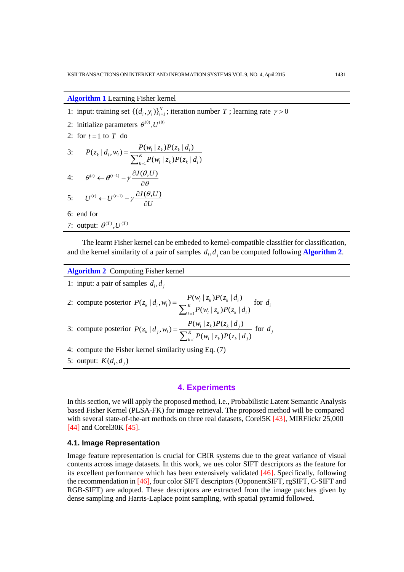### **Algorithm 1** Learning Fisher kernel

- 1: input: training set  $\{(d_i, y_i)\}_{i=1}^N$ ; iteration number *T*; learning rate  $\gamma > 0$
- 2: initialize parameters  $\theta^{(0)}$ ,  $U^{(0)}$ 2: for  $t = 1$  to  $T$  do 3: 1  $(z_k | d_i, w_i) = \frac{P(w_i | z_k) P(z_k | d_i)}{\sum_{k=1}^{k} P(z_k | d_i)}$  $(w_i | z_k) P(z_k | d_i)$  $\lambda_k | d_i, w_i$  =  $\frac{P(N_i | \mathcal{L}_k)P(\mathcal{L}_k | u_i)}{\sum_{k=1}^{K} P(k_i | u_i)}$  $\mathbf{k} = \mathbf{l}$   $\mathbf{w}_l + \mathbf{w}_k$   $\mathbf{w}_k + \mathbf{w}_i$  $P(z_k | d_i, w_l) = \frac{P(w_l | z_k) P(z_k | d_i)}{\sum_{k=1}^{k} P(z_k | d_i)}$  $P(w_l | z_k) P(z_k | d)$ = ∑ 4:  $\theta^{(t)} \leftarrow \theta^{(t-1)} - \gamma \frac{\partial J(\theta, U)}{\partial \theta}$ ∂ 5:  $U^{(t)} \leftarrow U^{(t-1)} - \gamma \frac{\partial J(\theta, U)}{\partial U}$ *U*  $\leftarrow U^{(t-1)} - \gamma \frac{\partial J(\theta)}{\partial x}$ ∂ 6: end for
- 7: output:  $\theta^{(T)}$ ,  $U^{(T)}$

The learnt Fisher kernel can be embeded to kernel-compatible classifier for classification, and the kernel similarity of a pair of samples  $d_i$ ,  $d_j$  can be computed following **Algorithm 2**.

| <b>Algorithm 2</b> Computing Fisher kernel |  |  |  |
|--------------------------------------------|--|--|--|
|--------------------------------------------|--|--|--|

1: input: a pair of samples  $d_i$ ,  $d_j$ 

2: compute posterior 
$$
P(z_k | d_i, w_i) = \frac{P(w_i | z_k) P(z_k | d_i)}{\sum_{k=1}^{K} P(w_i | z_k) P(z_k | d_i)}
$$
 for  $d_i$ 

3: compute posterior 
$$
P(z_k | d_j, w_l) = \frac{P(w_l | z_k)P(z_k | d_j)}{\sum_{k=1}^{K} P(w_l | z_k)P(z_k | d_j)}
$$
 for  $d_j$ 

- 4: compute the Fisher kernel similarity using Eq. (7)
- 5: output:  $K(d_i, d_j)$

### **4. Experiments**

In this section, we will apply the proposed method, i.e., Probabilistic Latent Semantic Analysis based Fisher Kernel (PLSA-FK) for image retrieval. The proposed method will be compared with several state-of-the-art methods on three real datasets, Corel5K [43], MIRFlickr 25,000 [44] and Corel30K [45].

## **4.1. Image Representation**

Image feature representation is crucial for CBIR systems due to the great variance of visual contents across image datasets. In this work, we ues color SIFT descriptors as the feature for its excellent performance which has been extensively validated [46]. Specifically, following the recommendation in [46], four color SIFT descriptors (OpponentSIFT, rgSIFT, C-SIFT and RGB-SIFT) are adopted. These descriptors are extracted from the image patches given by dense sampling and Harris-Laplace point sampling, with spatial pyramid followed.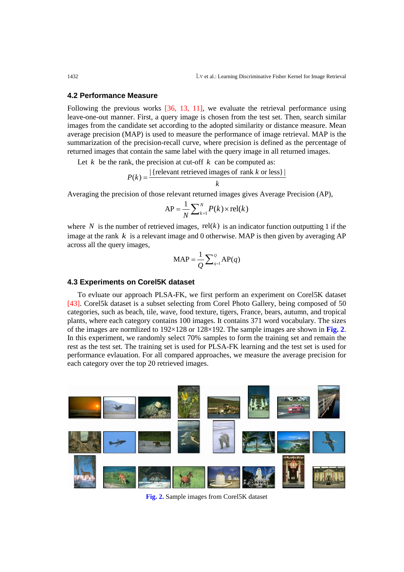#### **4.2 Performance Measure**

Following the previous works [36, 13, 11], we evaluate the retrieval performance using leave-one-out manner. First, a query image is chosen from the test set. Then, search similar images from the candidate set according to the adopted similarity or distance measure. Mean average precision (MAP) is used to measure the performance of image retrieval. MAP is the summarization of the precision-recall curve, where precision is defined as the percentage of returned images that contain the same label with the query image in all returned images.

Let  $k$  be the rank, the precision at cut-off  $k$  can be computed as:

$$
P(k) = \frac{|\{\text{relevant retrieved images of rank } k \text{ or less}\}\}|}{k}
$$

Averaging the precision of those relevant returned images gives Average Precision (AP),

$$
AP = \frac{1}{N} \sum_{k=1}^{N} P(k) \times rel(k)
$$

where *N* is the number of retrieved images, rel( $k$ ) is an indicator function outputting 1 if the image at the rank  $k$  is a relevant image and 0 otherwise. MAP is then given by averaging AP across all the query images,

$$
\text{MAP} = \frac{1}{Q} \sum_{q=1}^{Q} \text{AP}(q)
$$

### **4.3 Experiments on Corel5K dataset**

To evluate our approach PLSA-FK, we first perform an experiment on Corel5K dataset [43]. Corel5k dataset is a subset selecting from Corel Photo Gallery, being composed of 50 categories, such as beach, tile, wave, food texture, tigers, France, bears, autumn, and tropical plants, where each category contains 100 images. It contains 371 word vocabulary. The sizes of the images are normlized to 192×128 or 128×192. The sample images are shown in **Fig. 2**. In this experiment, we randomly select 70% samples to form the training set and remain the rest as the test set. The training set is used for PLSA-FK learning and the test set is used for performance evlauation. For all compared approaches, we measure the average precision for each category over the top 20 retrieved images.



**Fig. 2.** Sample images from Corel5K dataset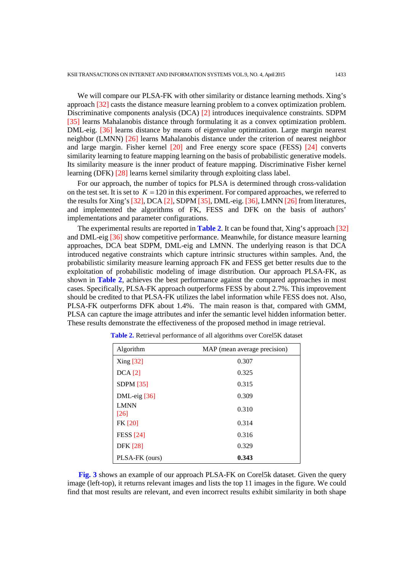We will compare our PLSA-FK with other similarity or distance learning methods. Xing's approach [32] casts the distance measure learning problem to a convex optimization problem. Discriminative components analysis (DCA) [2] introduces inequivalence constraints. SDPM [35] learns Mahalanobis distance through formulating it as a convex optimization problem. DML-eig. [36] learns distance by means of eigenvalue optimization. Large margin nearest neighbor (LMNN) [26] learns Mahalanobis distance under the criterion of nearest neighbor and large margin. Fisher kernel [20] and Free energy score space (FESS) [24] converts similarity learning to feature mapping learning on the basis of probabilistic generative models. Its similarity measure is the inner product of feature mapping. Discriminative Fisher kernel learning (DFK) [28] learns kernel similarity through exploiting class label.

For our approach, the number of topics for PLSA is determined through cross-validation on the test set. It is set to  $K = 120$  in this experiment. For compared approaches, we referred to the results for Xing's [32], DCA [2], SDPM [35], DML-eig. [36], LMNN [26] from literatures, and implemented the algorithms of FK, FESS and DFK on the basis of authors' implementations and parameter configurations.

The experimental results are reported in **Table 2**. It can be found that, Xing's approach [32] and DML-eig [36] show competitive performance. Meanwhile, for distance measure learning approaches, DCA beat SDPM, DML-eig and LMNN. The underlying reason is that DCA introduced negative constraints which capture intrinsic structures within samples. And, the probabilistic similarity measure learning approach FK and FESS get better results due to the exploitation of probabilistic modeling of image distribution. Our approach PLSA-FK, as shown in **Table 2**, achieves the best performance against the compared approaches in most cases. Specifically, PLSA-FK approach outperforms FESS by about 2.7%. This improvement should be credited to that PLSA-FK utilizes the label information while FESS does not. Also, PLSA-FK outperforms DFK about 1.4%. The main reason is that, compared with GMM, PLSA can capture the image attributes and infer the semantic level hidden information better. These results demonstrate the effectiveness of the proposed method in image retrieval.

| Algorithm               | MAP (mean average precision) |  |
|-------------------------|------------------------------|--|
| Xing [32]               | 0.307                        |  |
| $DCA$ [2]               | 0.325                        |  |
| SDPM $[35]$             | 0.315                        |  |
| DML-eig <sup>[36]</sup> | 0.309                        |  |
| <b>LMNN</b><br>[26]     | 0.310                        |  |
| FK [20]                 | 0.314                        |  |
| <b>FESS</b> [24]        | 0.316                        |  |
| <b>DFK</b> [28]         | 0.329                        |  |
| PLSA-FK (ours)          | 0.343                        |  |

**Table 2.** Retrieval performance of all algorithms over Corel5K dataset

**Fig. 3** shows an example of our approach PLSA-FK on Corel5k dataset. Given the query image (left-top), it returns relevant images and lists the top 11 images in the figure. We could find that most results are relevant, and even incorrect results exhibit similarity in both shape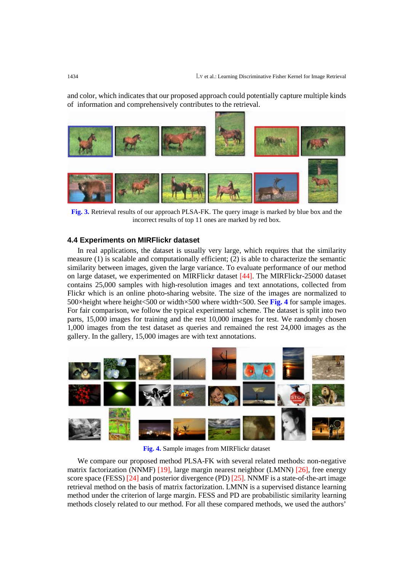and color, which indicates that our proposed approach could potentially capture multiple kinds of information and comprehensively contributes to the retrieval.



**Fig. 3.** Retrieval results of our approach PLSA-FK. The query image is marked by blue box and the incorrect results of top 11 ones are marked by red box.

## **4.4 Experiments on MIRFlickr dataset**

In real applications, the dataset is usually very large, which requires that the similarity measure (1) is scalable and computationally efficient; (2) is able to characterize the semantic similarity between images, given the large variance. To evaluate performance of our method on large dataset, we experimented on MIRFlickr dataset [44]. The MIRFlickr-25000 dataset contains 25,000 samples with high-resolution images and text annotations, collected from Flickr which is an online photo-sharing website. The size of the images are normalized to 500×height where height<500 or width×500 where width<500. See **Fig. 4** for sample images. For fair comparison, we follow the typical experimental scheme. The dataset is split into two parts, 15,000 images for training and the rest 10,000 images for test. We randomly chosen 1,000 images from the test dataset as queries and remained the rest 24,000 images as the gallery. In the gallery, 15,000 images are with text annotations.



**Fig. 4.** Sample images from MIRFlickr dataset

We compare our proposed method PLSA-FK with several related methods: non-negative matrix factorization (NNMF) [19], large margin nearest neighbor (LMNN) [26], free energy score space (FESS) [24] and posterior divergence (PD) [25]. NNMF is a state-of-the-art image retrieval method on the basis of matrix factorization. LMNN is a supervised distance learning method under the criterion of large margin. FESS and PD are probabilistic similarity learning methods closely related to our method. For all these compared methods, we used the authors'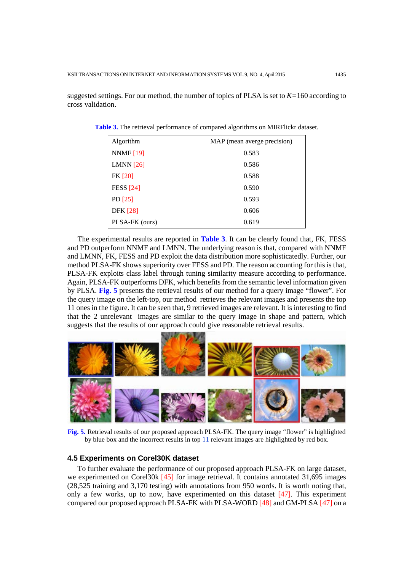suggested settings. For our method, the number of topics of PLSA is set to *K=*160 according to cross validation.

| Algorithm        | MAP (mean averge precision) |  |
|------------------|-----------------------------|--|
| <b>NNMF</b> [19] | 0.583                       |  |
| LMNN $[26]$      | 0.586                       |  |
| <b>FK</b> [20]   | 0.588                       |  |
| <b>FESS</b> [24] | 0.590                       |  |
| PD $[25]$        | 0.593                       |  |
| <b>DFK</b> [28]  | 0.606                       |  |
| PLSA-FK (ours)   | 0.619                       |  |

**Table 3.** The retrieval performance of compared algorithms on MIRFlickr dataset.

The experimental results are reported in **Table 3**. It can be clearly found that, FK, FESS and PD outperform NNMF and LMNN. The underlying reason is that, compared with NNMF and LMNN, FK, FESS and PD exploit the data distribution more sophisticatedly. Further, our method PLSA-FK shows superiority over FESS and PD. The reason accounting for this is that, PLSA-FK exploits class label through tuning similarity measure according to performance. Again, PLSA-FK outperforms DFK, which benefits from the semantic level information given by PLSA. **Fig. 5** presents the retrieval results of our method for a query image "flower". For the query image on the left-top, our method retrieves the relevant images and presents the top 11 ones in the figure. It can be seen that, 9 retrieved images are relevant. It is interesting to find that the 2 unrelevant images are similar to the query image in shape and pattern, which suggests that the results of our approach could give reasonable retrieval results.



**Fig. 5.** Retrieval results of our proposed approach PLSA-FK. The query image "flower" is highlighted by blue box and the incorrect results in top 11 relevant images are highlighted by red box.

## **4.5 Experiments on Corel30K dataset**

To further evaluate the performance of our proposed approach PLSA-FK on large dataset, we experimented on Corel30k [45] for image retrieval. It contains annotated 31,695 images (28,525 training and 3,170 testing) with annotations from 950 words. It is worth noting that, only a few works, up to now, have experimented on this dataset [47]. This experiment compared our proposed approach PLSA-FK with PLSA-WORD [48] and GM-PLSA [47] on a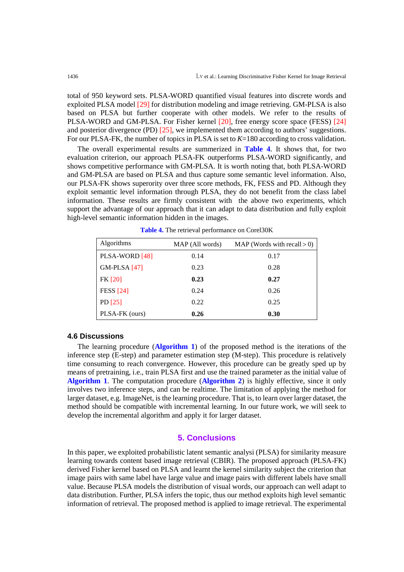total of 950 keyword sets. PLSA-WORD quantified visual features into discrete words and exploited PLSA model [29] for distribution modeling and image retrieving. GM-PLSA is also based on PLSA but further cooperate with other models. We refer to the results of PLSA-WORD and GM-PLSA. For Fisher kernel [20], free energy score space (FESS) [24] and posterior divergence (PD) [25], we implemented them according to authors' suggestions. For our PLSA-FK, the number of topics in PLSA is set to  $K=180$  according to cross validation.

The overall experimental results are summerized in **Table 4**. It shows that, for two evaluation criterion, our approach PLSA-FK outperforms PLSA-WORD significantly, and shows competitive performance with GM-PLSA. It is worth noting that, both PLSA-WORD and GM-PLSA are based on PLSA and thus capture some semantic level information. Also, our PLSA-FK shows superority over three score methods, FK, FESS and PD. Although they exploit semantic level information through PLSA, they do not benefit from the class label information. These results are firmly consistent with the above two experiments, which support the advantage of our approach that it can adapt to data distribution and fully exploit high-level semantic information hidden in the images.

| Algorithms          | MAP (All words) | MAP (Words with recall $> 0$ ) |
|---------------------|-----------------|--------------------------------|
| PLSA-WORD [48]      | 0.14            | 0.17                           |
| <b>GM-PLSA</b> [47] | 0.23            | 0.28                           |
| <b>FK</b> [20]      | 0.23            | 0.27                           |
| <b>FESS</b> [24]    | 0.24            | 0.26                           |
| PD $[25]$           | 0.22            | 0.25                           |
| PLSA-FK (ours)      | 0.26            | 0.30                           |

**Table 4.** The retrieval performance on Corel30K

#### **4.6 Discussions**

The learning procedure (**Algorithm 1**) of the proposed method is the iterations of the inference step (E-step) and parameter estimation step (M-step). This procedure is relatively time consuming to reach convergence. However, this procedure can be greatly sped up by means of pretraining, i.e., train PLSA first and use the trained parameter as the initial value of **Algorithm 1**. The computation procedure (**Algorithm 2**) is highly effective, since it only involves two inference steps, and can be realtime. The limitation of applying the method for larger dataset, e.g. ImageNet, is the learning procedure. That is, to learn over larger dataset, the method should be compatible with incremental learning. In our future work, we will seek to develop the incremental algorithm and apply it for larger dataset.

## **5. Conclusions**

In this paper, we exploited probabilistic latent semantic analysi (PLSA) for similarity measure learning towards content based image retrieval (CBIR). The proposed approach (PLSA-FK) derived Fisher kernel based on PLSA and learnt the kernel similarity subject the criterion that image pairs with same label have large value and image pairs with different labels have small value. Because PLSA models the distribution of visual words, our approach can well adapt to data distribution. Further, PLSA infers the topic, thus our method exploits high level semantic information of retrieval. The proposed method is applied to image retrieval. The experimental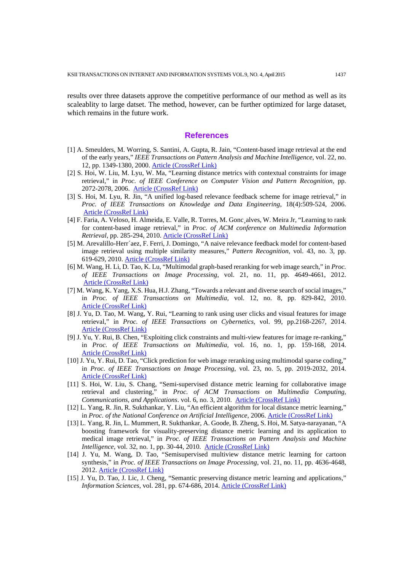results over three datasets approve the competitive performance of our method as well as its scaleablity to large datset. The method, however, can be further optimized for large dataset, which remains in the future work.

#### **References**

- [1] A. Smeulders, M. Worring, S. Santini, A. Gupta, R. Jain, "Content-based image retrieval at the end of the early years," *IEEE Transactions on Pattern Analysis and Machine Intelligence*, vol. 22, no. 12, pp. 1349-1380, 2000. [Article \(CrossRef Link\)](http://dx.doi.org/10.1109/34.895972)
- [2] S. Hoi, W. Liu, M. Lyu, W. Ma, "Learning distance metrics with contextual constraints for image retrieval," in *Proc. of IEEE Conference on Computer Vision and Pattern Recognition*, pp. 2072-2078, 2006. [Article \(CrossRef Link\)](http://dx.doi.org/10.1109/CVPR.2006.167)
- [3] S. Hoi, M. Lyu, R. Jin, "A unified log-based relevance feedback scheme for image retrieval," in *Proc. of IEEE Transactions on Knowledge and Data Engineering*, 18(4):509-524, 2006. [Article \(CrossRef Link\)](http://dx.doi.org/10.1109/TKDE.2006.1599389)
- [4] F. Faria, A. Veloso, H. Almeida, E. Valle, R. Torres, M. Gonc¸alves, W. Meira Jr, "Learning to rank for content-based image retrieval," in *Proc. of ACM conference on Multimedia Information Retrieval*, pp. 285-294, 2010. [Article \(CrossRef Link\)](http://dx.doi.org/10.1145/1743384.1743434)
- [5] M. Arevalillo-Herr´aez, F. Ferri, J. Domingo, "A naive relevance feedback model for content-based image retrieval using multiple similarity measures," *Pattern Recognition*, vol. 43, no. 3, pp. 619-629, 2010. [Article \(CrossRef Link\)](http://dx.doi.org/10.1016/j.patcog.2009.08.010)
- [6] M. Wang, H. Li, D. Tao, K. Lu, "Multimodal graph-based reranking for web image search," in *Proc. of IEEE Transactions on Image Processing*, vol. 21, no. 11, pp. 4649-4661, 2012. [Article \(CrossRef Link\)](http://dx.doi.org/10.1109/TIP.2012.2207397)
- [7] M. Wang, K. Yang, X.S. Hua, H.J. Zhang, "Towards a relevant and diverse search of social images," in *Proc. of IEEE Transactions on Multimedia,* vol. 12, no. 8, pp. 829-842, 2010. [Article \(CrossRef Link\)](http://dx.doi.org/10.1109/TMM.2010.2055045)
- [8] J. Yu, D. Tao, M. Wang, Y. Rui, "Learning to rank using user clicks and visual features for image retrieval," in *Proc. of IEEE Transactions on Cybernetics,* vol. 99, pp.2168-2267, 2014. [Article \(CrossRef Link\)](http://dx.doi.org/10.1109/TCYB.2014.2336697)
- [9] J. Yu, Y. Rui, B. Chen, "Exploiting click constraints and multi-view features for image re-ranking," in *Proc. of IEEE Transactions on Multimedia*, vol. 16, no. 1, pp. 159-168, 2014. [Article \(CrossRef Link\)](http://dx.doi.org/10.1109/TMM.2013.2284755)
- [10] J. Yu, Y. Rui, D. Tao, "Click prediction for web image reranking using multimodal sparse coding," in *Proc. of IEEE Transactions on Image Processing*, vol. 23, no. 5, pp. 2019-2032, 2014. [Article \(CrossRef Link\)](http://dx.doi.org/10.1109/TIP.2014.2311377)
- [11] S. Hoi, W. Liu, S. Chang, "Semi-supervised distance metric learning for collaborative image retrieval and clustering," in *Proc. of ACM Transactions on Multimedia Computing, Communications, and Applications*. vol. 6, no. 3, 2010. [Article \(CrossRef Link\)](http://dx.doi.org/10.1145/1823746.1823752)
- [12] L. Yang, R. Jin, R. Sukthankar, Y. Liu, "An efficient algorithm for local distance metric learning," in *Proc. of the National Conference on Artificial Intelligence*, 2006. [Article \(CrossRef Link\)](https://www.aaai.org/Papers/AAAI/2006/AAAI06-087.pdf)
- [13] L. Yang, R. Jin, L. Mummert, R. Sukthankar, A. Goode, B. Zheng, S. Hoi, M. Satya-narayanan, "A boosting framework for visuality-preserving distance metric learning and its application to medical image retrieval," in *Proc. of IEEE Transactions on Pattern Analysis and Machine Intelligence*, vol. 32, no. 1, pp. 30-44, 2010. [Article \(CrossRef Link\)](http://dx.doi.org/10.1109/TPAMI.2008.273)
- [14] J. Yu, M. Wang, D. Tao, "Semisupervised multiview distance metric learning for cartoon synthesis," in *Proc. of IEEE Transactions on Image Processing*, vol. 21, no. 11, pp. 4636-4648, 2012. [Article \(CrossRef Link\)](http://dx.doi.org/10.1109/TIP.2012.2207395)
- [15] J. Yu, D. Tao, J. Lic, J. Cheng, "Semantic preserving distance metric learning and applications," *Information Sciences*, vol. 281, pp. 674-686, 2014. [Article \(CrossRef Link\)](http://dx.doi.org/10.1016/j.ins.2014.01.025)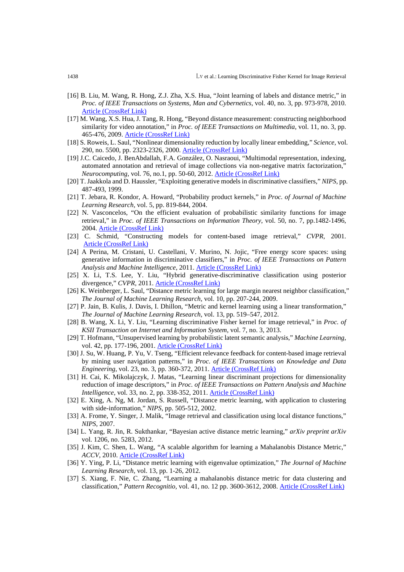- [16] B. Liu, M. Wang, R. Hong, Z.J. Zha, X.S. Hua, "Joint learning of labels and distance metric," in *Proc. of IEEE Transactions on Systems, Man and Cybernetics*, vol. 40, no. 3, pp. 973-978, 2010. [Article \(CrossRef Link\)](http://dx.doi.org/10.1109/TSMCB.2009.2034632)
- [17] M. Wang, X.S. Hua, J. Tang, R. Hong, "Beyond distance measurement: constructing neighborhood similarity for video annotation," in *Proc. of IEEE Transactions on Multimedia*, vol. 11, no. 3, pp. 465-476, 2009. [Article \(CrossRef Link\)](http://dx.doi.org/10.1109/TMM.2009.2012919)
- [18] S. Roweis, L. Saul, "Nonlinear dimensionality reduction by locally linear embedding," *Science,* vol. 290, no. 5500, pp. 2323-2326, 2000. [Article \(CrossRef Link\)](http://dx.doi.org/10.1126/science.290.5500.2323)
- [19] J.C. Caicedo, J. BenAbdallah, F.A. González, O. Nasraoui, ["Multimodal representation, indexing,](http://www.sciencedirect.com/science/article/pii/S0925231211004048)  [automated annotation and retrieval of image collections via non-negative matrix factorization,"](http://www.sciencedirect.com/science/article/pii/S0925231211004048) *Neurocomputing*, vol. 76, no.1, pp. 50-60, 2012. [Article \(CrossRef Link\)](http://dx.doi.org/10.1016/j.neucom.2011.04.037)
- [20] T. Jaakkola and D. Haussler, "Exploiting generative models in discriminative classifiers," *NIPS*, pp. 487-493, 1999.
- [21] T. Jebara, R. Kondor, A. Howard, "Probability product kernels," in *Proc. of Journal of Machine Learning Research,* vol. 5, pp. 819-844, 2004.
- [22] N. Vasconcelos, "On the efficient evaluation of probabilistic similarity functions for image retrieval," in *Proc. of IEEE Transactions on Information Theory*, vol. 50, no. 7, pp.1482-1496, 2004. [Article \(CrossRef Link\)](http://dx.doi.org/10.1109/TIT.2004.830760)
- [23] C. Schmid, "Constructing models for content-based image retrieval," *CVPR,* 2001. [Article \(CrossRef Link\)](http://dx.doi.org/10.1109/CVPR.2001.990922)
- [24] A Perina, M. Cristani, U. Castellani, V. Murino, N. Jojic, "Free energy score spaces: using generative information in discriminative classifiers," in *Proc. of IEEE Transactions on Pattern Analysis and Machine Intelligence*, 2011. [Article \(CrossRef Link\)](http://dx.doi.org/10.1109/TPAMI.2011.241)
- [25] X. Li, T.S. Lee, Y. Liu, "Hybrid generative-discriminative classification using posterior divergence," CVPR, 2011. **[Article \(CrossRef Link\)](http://dx.doi.org/10.1109/CVPR.2011.5995584)**
- [26] K. Weinberger, L. Saul, "Distance metric learning for large margin nearest neighbor classification," *The Journal of Machine Learning Research,* vol. 10, pp. 207-244, 2009.
- [27] P. Jain, B. Kulis, J. Davis, I. Dhillon, "Metric and kernel learning using a linear transformation," *The Journal of Machine Learning Research,* vol. 13, pp. 519–547, 2012.
- [28] B. Wang, X. Li, Y. Liu, "Learning discriminative Fisher kernel for image retrieval," in *Proc. of KSII Transaction on Internet and Information System*, vol. 7, no. 3, 2013.
- [29] T. Hofmann, "Unsupervised learning by probabilistic latent semantic analysis," *Machine Learning,* vol. 42, pp. 177-196, 2001. [Article \(CrossRef Link\)](http://dx.doi.org/10.1023/A:1007617005950)
- [30] J. Su, W. Huang, P. Yu, V. Tseng, "Efficient relevance feedback for content-based image retrieval by mining user navigation patterns," in *Proc. of IEEE Transactions on Knowledge and Data Engineering*, vol. 23, no. 3, pp. 360-372, 2011. [Article \(CrossRef Link\)](http://dx.doi.org/10.1109/TKDE.2010.124)
- [31] H. Cai, K. Mikolajczyk, J. Matas, "Learning linear discriminant projections for dimensionality reduction of image descriptors," in *Proc. of IEEE Transactions on Pattern Analysis and Machine Intelligence*, vol. 33, no. 2, pp. 338-352, 2011. [Article \(CrossRef Link\)](http://dx.doi.org/10.5244/C.22.51)
- [32] E. Xing, A. Ng, M. Jordan, S. Russell, "Distance metric learning, with application to clustering with side-information," *NIPS*, pp. 505-512, 2002.
- [33] A. Frome, Y. Singer, J. Malik, "Image retrieval and classification using local distance functions," *NIPS*, 2007.
- [34] L. Yang, R. Jin, R. Sukthankar, "Bayesian active distance metric learning," *arXiv preprint arXiv* vol. 1206, no. 5283, 2012.
- [35] J. Kim, C. Shen, L. Wang, "A scalable algorithm for learning a Mahalanobis Distance Metric," *ACCV*, 2010. [Article \(CrossRef Link\)](http://dx.doi.org/10.1007/978-3-642-12297-2_29)
- [36] Y. Ying, P. Li, "Distance metric learning with eigenvalue optimization," *The Journal of Machine Learning Research,* vol. 13, pp. 1-26, 2012.
- [37] S. Xiang, F. Nie, C. Zhang, "Learning a mahalanobis distance metric for data clustering and classification," *Pattern Recognitio,* vol. 41, no. 12 pp. 3600-3612, 2008. [Article \(CrossRef Link\)](http://dx.doi.org/10.1016/j.patcog.2008.05.018)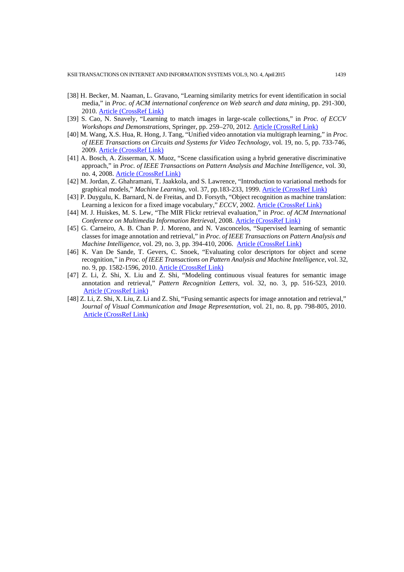- [38] H. Becker, M. Naaman, L. Gravano, "Learning similarity metrics for event identification in social media," in *Proc. of ACM international conference on Web search and data mining*, pp. 291-300, 2010. [Article \(CrossRef Link\)](http://dx.doi.org/10.1145/1718487.1718524)
- [39] S. Cao, N. Snavely, "Learning to match images in large-scale collections," in *Proc. of ECCV Workshops and Demonstrations*, Springer, pp. 259–270, 2012. [Article \(CrossRef Link\)](http://dx.doi.org/10.1007/978-3-642-33863-2_26)
- [40] M. Wang, X.S. Hua, R. Hong, J. Tang, "Unified video annotation via multigraph learning," in *Proc. of IEEE Transactions on Circuits and Systems for Video Technology*, vol. 19, no. 5, pp. 733-746, 2009[. Article \(CrossRef Link\)](http://dx.doi.org/10.1109/TCSVT.2009.2017400)
- [41] A. Bosch, A. Zisserman, X. Muoz, "Scene classification using a hybrid generative discriminative approach," in *Proc. of IEEE Transactions on Pattern Analysis and Machine Intelligence*, vol. 30, no. 4, 2008. [Article \(CrossRef Link\)](http://dx.doi.org/10.1109/TPAMI.2007.70716)
- [42] M. Jordan, Z. Ghahramani, T. Jaakkola, and S. Lawrence, "Introduction to variational methods for graphical models," Machine Learning, vol. 37, pp.183-233, 1999. **[Article \(CrossRef Link\)](http://dx.doi.org/10.1007/978-94-011-5014-9_5)**
- [43] P. Duygulu, K. Barnard, N. de Freitas, and D. Forsyth, "Object recognition as machine translation: Learning a lexicon for a fixed image vocabulary," *ECCV*, 2002. [Article \(CrossRef Link\)](http://dx.doi.org/10.1007/3-540-47979-1_7)
- [44] M. J. Huiskes, M. S. Lew, "The MIR Flickr retrieval evaluation," in *Proc. of ACM International Conference on Multimedia Information Retrieval*, 2008. [Article \(CrossRef Link\)](http://dx.doi.org/10.1145/1460096.1460104)
- [45] G. Carneiro, A. B. Chan P. J. Moreno, and N. Vasconcelos, "Supervised learning of semantic classes for image annotation and retrieval," in *Proc. of IEEE Transactions on Pattern Analysis and Machine Intelligence*, vol. 29, no. 3, pp. 394-410, 2006. [Article \(CrossRef Link\)](http://dx.doi.org/10.1109/TPAMI.2007.61)
- [46] K. Van De Sande, T. Gevers, C. Snoek, "Evaluating color descriptors for object and scene recognition," in *Proc. of IEEE Transactions on Pattern Analysis and Machine Intelligence*, vol. 32, no. 9, pp. 1582-1596, 2010. [Article \(CrossRef Link\)](http://dx.doi.org/10.1109/TPAMI.2009.154)
- [47] Z. Li, Z. Shi, X. Liu and Z. Shi, "Modeling continuous visual features for semantic image annotation and retrieval," *Pattern Recognition Letters*, vol. 32, no. 3, pp. 516-523, 2010. [Article \(CrossRef Link\)](http://dx.doi.org/10.1016/j.patrec.2010.11.015)
- [48] Z. Li, Z. Shi, X. Liu, Z. Li and Z. Shi, "Fusing semantic aspects for image annotation and retrieval," J*ournal of Visual Communication and Image Representation,* vol. 21, no. 8, pp. 798-805, 2010. Article (CrossRef Link)